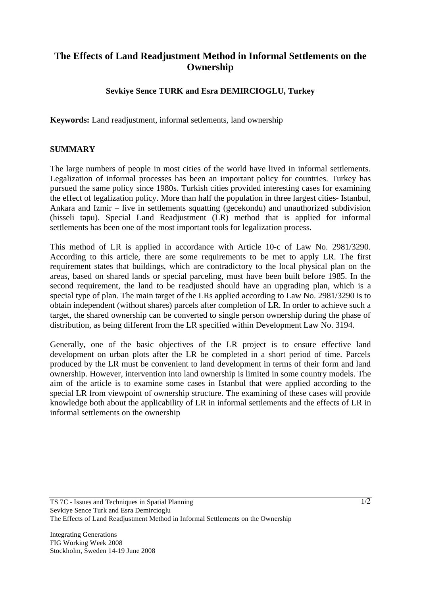# **The Effects of Land Readjustment Method in Informal Settlements on the Ownership**

### **Sevkiye Sence TURK and Esra DEMIRCIOGLU, Turkey**

**Keywords:** Land readjustment, informal setlements, land ownership

#### **SUMMARY**

The large numbers of people in most cities of the world have lived in informal settlements. Legalization of informal processes has been an important policy for countries. Turkey has pursued the same policy since 1980s. Turkish cities provided interesting cases for examining the effect of legalization policy. More than half the population in three largest cities- Istanbul, Ankara and Izmir – live in settlements squatting (gecekondu) and unauthorized subdivision (hisseli tapu). Special Land Readjustment (LR) method that is applied for informal settlements has been one of the most important tools for legalization process.

This method of LR is applied in accordance with Article 10-c of Law No. 2981/3290. According to this article, there are some requirements to be met to apply LR. The first requirement states that buildings, which are contradictory to the local physical plan on the areas, based on shared lands or special parceling, must have been built before 1985. In the second requirement, the land to be readjusted should have an upgrading plan, which is a special type of plan. The main target of the LRs applied according to Law No. 2981/3290 is to obtain independent (without shares) parcels after completion of LR. In order to achieve such a target, the shared ownership can be converted to single person ownership during the phase of distribution, as being different from the LR specified within Development Law No. 3194.

Generally, one of the basic objectives of the LR project is to ensure effective land development on urban plots after the LR be completed in a short period of time. Parcels produced by the LR must be convenient to land development in terms of their form and land ownership. However, intervention into land ownership is limited in some country models. The aim of the article is to examine some cases in Istanbul that were applied according to the special LR from viewpoint of ownership structure. The examining of these cases will provide knowledge both about the applicability of LR in informal settlements and the effects of LR in informal settlements on the ownership